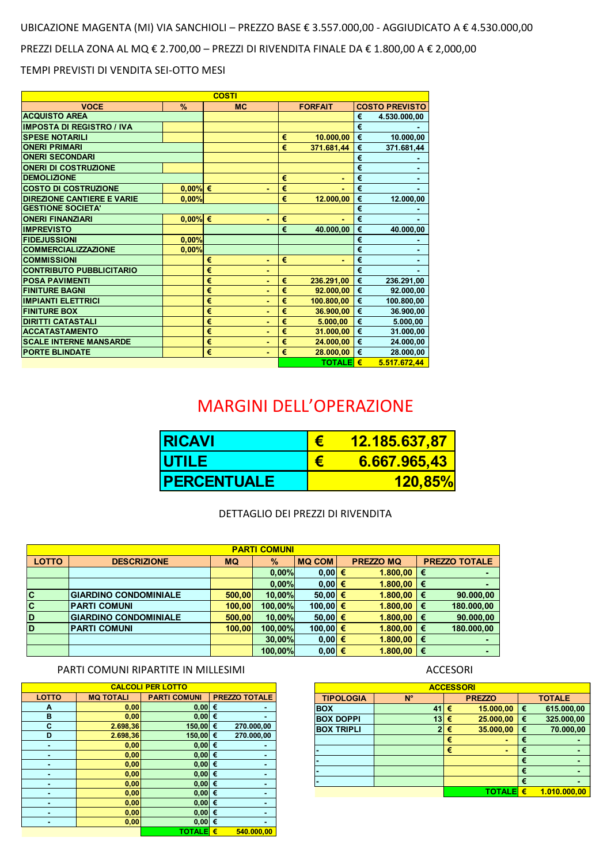## UBICAZIONE MAGENTA (MI) VIA SANCHIOLI – PREZZO BASE € 3.557.000,00 - AGGIUDICATO A € 4.530.000,00

PREZZI DELLA ZONA AL MQ € 2.700,00 – PREZZI DI RIVENDITA FINALE DA € 1.800,00 A € 2,000,00

#### TEMPI PREVISTI DI VENDITA SEI-OTTO MESI

# MARGINI DELL'OPERAZIONE

| <b>ACCESSORI</b>  |              |   |               |               |              |  |  |  |  |  |
|-------------------|--------------|---|---------------|---------------|--------------|--|--|--|--|--|
| <b>TIPOLOGIA</b>  | $N^{\circ}$  |   | <b>PREZZO</b> | <b>TOTALE</b> |              |  |  |  |  |  |
| <b>BOX</b>        | 41           | € | 15.000,00     | €             | 615.000,00   |  |  |  |  |  |
| <b>BOX DOPPI</b>  | 13           | € | 25.000,00     | €             | 325.000,00   |  |  |  |  |  |
| <b>BOX TRIPLI</b> | $\mathbf{2}$ | € | 35.000,00     | €             | 70.000,00    |  |  |  |  |  |
|                   |              | € |               | €             |              |  |  |  |  |  |
|                   |              | € |               | €             |              |  |  |  |  |  |
|                   |              |   |               | €             |              |  |  |  |  |  |
|                   |              |   |               | €             |              |  |  |  |  |  |
|                   |              |   |               | €             |              |  |  |  |  |  |
|                   |              |   | TOTALE        | €             | 1.010.000,00 |  |  |  |  |  |

| <b>CALCOLI PER LOTTO</b> |                  |                     |                      |  |  |  |  |  |  |  |
|--------------------------|------------------|---------------------|----------------------|--|--|--|--|--|--|--|
| <b>LOTTO</b>             | <b>MQ TOTALI</b> | <b>PARTI COMUNI</b> | <b>PREZZO TOTALE</b> |  |  |  |  |  |  |  |
| A                        | 0,00             | 0,00                | €                    |  |  |  |  |  |  |  |
| B                        | 0,00             | 0,00                | €                    |  |  |  |  |  |  |  |
| $\mathbf C$              | 2.698,36         | 150,00              | 270.000,00<br>€      |  |  |  |  |  |  |  |
| D                        | 2.698,36         | 150,00              | 270.000,00<br>€      |  |  |  |  |  |  |  |
|                          | 0,00             | 0,00                | €                    |  |  |  |  |  |  |  |
|                          | 0,00             | 0,00                | €                    |  |  |  |  |  |  |  |
|                          | 0,00             | 0,00                | €                    |  |  |  |  |  |  |  |
|                          | 0,00             | 0,00                | €                    |  |  |  |  |  |  |  |
|                          | 0,00             | 0,00                | €                    |  |  |  |  |  |  |  |
|                          | 0,00             | 0,00                | €                    |  |  |  |  |  |  |  |
|                          | 0,00             | 0,00                | €                    |  |  |  |  |  |  |  |
|                          | 0,00             | 0,00                | €                    |  |  |  |  |  |  |  |
|                          | 0,00             | 0,00                | €                    |  |  |  |  |  |  |  |
|                          |                  | <b>TOTALE</b>       | €<br>540.000,00      |  |  |  |  |  |  |  |



| <b>PARTI COMUNI</b> |                              |           |               |               |  |                  |   |                      |  |  |
|---------------------|------------------------------|-----------|---------------|---------------|--|------------------|---|----------------------|--|--|
| <b>LOTTO</b>        | <b>DESCRIZIONE</b>           | <b>MQ</b> | $\frac{9}{6}$ | <b>MQ COM</b> |  | <b>PREZZO MQ</b> |   | <b>PREZZO TOTALE</b> |  |  |
|                     |                              |           | 0,00%         | $0,00 \in$    |  | 1.800,00         | € |                      |  |  |
|                     |                              |           | 0,00%         | $0,00 \in$    |  | 1.800,00         | € |                      |  |  |
| $ {\bf C} $         | <b>GIARDINO CONDOMINIALE</b> | 500,00    | 10,00%        | 50,00 €       |  | $1.800,00$   €   |   | 90.000,00            |  |  |
| <b>C</b>            | <b>PARTI COMUNI</b>          | 100,00    | 100,00%       | 100,00 €      |  | 1.800,00         | € | 180.000,00           |  |  |
| D                   | <b>GIARDINO CONDOMINIALE</b> | 500,00    | 10,00%        | 50,00 €       |  | 1.800,00         | € | 90.000,00            |  |  |
| <b>D</b>            | <b>PARTI COMUNI</b>          | 100,00    | 100,00%       | 100,00 €      |  | 1.800,00         | € | 180.000,00           |  |  |
|                     |                              |           | 30,00%        | $0,00 \in$    |  | 1.800,00         | € |                      |  |  |
|                     |                              |           | 100,00%       | $0,00 \in$    |  | 1.800,00         | € |                      |  |  |

|  |  | ------ <i>-</i> - |  |  |
|--|--|-------------------|--|--|
|  |  |                   |  |  |

#### PARTI COMUNI RIPARTITE IN MILLESIMI **ACCESORI**

| <b>COSTI</b>                                             |                                |           |           |                |                       |                       |  |  |  |  |  |
|----------------------------------------------------------|--------------------------------|-----------|-----------|----------------|-----------------------|-----------------------|--|--|--|--|--|
| <b>VOCE</b>                                              | $\frac{9}{6}$                  | <b>MC</b> |           | <b>FORFAIT</b> |                       | <b>COSTO PREVISTO</b> |  |  |  |  |  |
| <b>ACQUISTO AREA</b>                                     |                                |           |           |                | €                     | 4.530.000,00          |  |  |  |  |  |
| <b>IMPOSTA DI REGISTRO / IVA</b>                         |                                |           |           |                | $\overline{\epsilon}$ |                       |  |  |  |  |  |
| <b>SPESE NOTARILI</b>                                    |                                | €         | 10.000,00 | €              | 10.000,00             |                       |  |  |  |  |  |
| <b>ONERI PRIMARI</b>                                     |                                |           | €         | 371.681,44     | $\overline{\epsilon}$ | 371.681,44            |  |  |  |  |  |
| <b>ONERI SECONDARI</b>                                   |                                |           |           | €              |                       |                       |  |  |  |  |  |
| <b>ONERI DI COSTRUZIONE</b>                              |                                |           |           |                | €                     | ۰                     |  |  |  |  |  |
| <b>DEMOLIZIONE</b>                                       |                                |           | €         | ٠              | $\overline{\epsilon}$ | ٠                     |  |  |  |  |  |
| <b>COSTO DI COSTRUZIONE</b>                              | $0,00\%$ €                     | ۰         | €         |                | €                     |                       |  |  |  |  |  |
| <b>DIREZIONE CANTIERE E VARIE</b>                        | 0.00%                          |           | €         | 12.000,00      | $\overline{\epsilon}$ | 12.000,00             |  |  |  |  |  |
| <b>GESTIONE SOCIETA'</b>                                 |                                |           |           |                | $\overline{\epsilon}$ |                       |  |  |  |  |  |
| <b>ONERI FINANZIARI</b>                                  | $0,00\%$ €                     | ۰         | €         |                | €                     |                       |  |  |  |  |  |
| <b>IMPREVISTO</b>                                        |                                |           | €         | 40.000,00      | €                     | 40.000,00             |  |  |  |  |  |
| <b>FIDEJUSSIONI</b>                                      | 0,00%                          |           |           |                | $\overline{\epsilon}$ |                       |  |  |  |  |  |
| <b>COMMERCIALIZZAZIONE</b>                               | 0,00%                          |           |           |                | $\overline{\epsilon}$ | ۰                     |  |  |  |  |  |
| <b>COMMISSIONI</b>                                       |                                | €<br>٠    | €         | ۰              | €                     | ۰                     |  |  |  |  |  |
| <b>CONTRIBUTO PUBBLICITARIO</b>                          |                                | €<br>۰    |           |                | $\overline{\epsilon}$ |                       |  |  |  |  |  |
| <b>POSA PAVIMENTI</b>                                    |                                | €<br>٠    | €         | 236.291,00     | €                     | 236.291,00            |  |  |  |  |  |
| <b>FINITURE BAGNI</b>                                    |                                | €<br>٠    | €         | 92.000,00      | €                     | 92.000,00             |  |  |  |  |  |
| <b>IMPIANTI ELETTRICI</b>                                |                                | €<br>۰    | €         | 100.800,00     | $\overline{\epsilon}$ | 100.800,00            |  |  |  |  |  |
| <b>FINITURE BOX</b>                                      |                                | €<br>٠    | €         | 36.900,00      | €                     | 36.900,00             |  |  |  |  |  |
| <b>DIRITTI CATASTALI</b>                                 |                                | €<br>٠    | €         | 5.000,00       | $\overline{\epsilon}$ | 5.000,00              |  |  |  |  |  |
| <b>ACCATASTAMENTO</b>                                    |                                | €<br>٠    | €         | 31.000,00      | €                     | 31.000,00             |  |  |  |  |  |
| <b>SCALE INTERNE MANSARDE</b>                            |                                | €<br>۰    | €         | 24.000,00      | €                     | 24.000,00             |  |  |  |  |  |
| <b>PORTE BLINDATE</b>                                    |                                | €<br>÷,   | €         | 28.000,00      | €                     | 28.000,00             |  |  |  |  |  |
|                                                          |                                |           |           | TOTALE €       |                       | 5.517.672,44          |  |  |  |  |  |
|                                                          | <b>MARGINI DELL'OPERAZIONE</b> |           |           |                |                       |                       |  |  |  |  |  |
|                                                          | <b>RICAVI</b>                  |           |           | €              |                       | <u>12.185.637,</u>    |  |  |  |  |  |
|                                                          | <b>UTILE</b>                   |           | €         |                | 6.667.965,            |                       |  |  |  |  |  |
| <b>PERCENTUALE</b>                                       |                                |           |           | 120,8          |                       |                       |  |  |  |  |  |
| DETTAGLIO DEI PREZZI DI RIVENDITA<br><b>PARTI COMUNI</b> |                                |           |           |                |                       |                       |  |  |  |  |  |

| <b>IRICAVI</b>      | <u> 12.185.637,87</u> |
|---------------------|-----------------------|
| <b>UTILE</b>        | 6.667.965,43          |
| <b>IPERCENTUALE</b> | <b>120.85%</b>        |